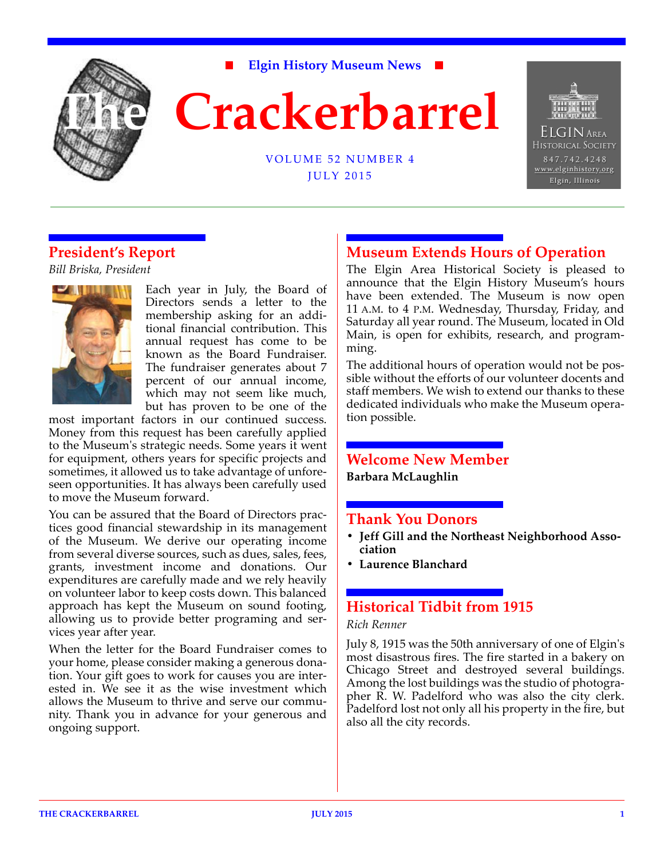

**Elgin History Museum News**



VOLUME 52 NUMBER 4 JULY 2015



# **President's Report**

*Bill Briska, President*



Each year in July, the Board of Directors sends a letter to the membership asking for an additional financial contribution. This annual request has come to be known as the Board Fundraiser. The fundraiser generates about 7 percent of our annual income, which may not seem like much, but has proven to be one of the

most important factors in our continued success. Money from this request has been carefully applied to the Museum's strategic needs. Some years it went for equipment, others years for specific projects and sometimes, it allowed us to take advantage of unforeseen opportunities. It has always been carefully used to move the Museum forward.

You can be assured that the Board of Directors practices good financial stewardship in its management of the Museum. We derive our operating income from several diverse sources, such as dues, sales, fees, grants, investment income and donations. Our expenditures are carefully made and we rely heavily on volunteer labor to keep costs down. This balanced approach has kept the Museum on sound footing, allowing us to provide better programing and services year after year.

When the letter for the Board Fundraiser comes to your home, please consider making a generous donation. Your gift goes to work for causes you are interested in. We see it as the wise investment which allows the Museum to thrive and serve our community. Thank you in advance for your generous and ongoing support.

# **Museum Extends Hours of Operation**

The Elgin Area Historical Society is pleased to announce that the Elgin History Museum's hours have been extended. The Museum is now open 11 A.M. to 4 P.M. Wednesday, Thursday, Friday, and Saturday all year round. The Museum, located in Old Main, is open for exhibits, research, and programming.

The additional hours of operation would not be possible without the efforts of our volunteer docents and staff members. We wish to extend our thanks to these dedicated individuals who make the Museum operation possible.

# **Welcome New Member**

**Barbara McLaughlin**

### **Thank You Donors**

- **Jeff Gill and the Northeast Neighborhood Association**
- **Laurence Blanchard**

# **Historical Tidbit from 1915**

### *Rich Renner*

July 8, 1915 was the 50th anniversary of one of Elgin's most disastrous fires. The fire started in a bakery on Chicago Street and destroyed several buildings. Among the lost buildings was the studio of photographer R. W. Padelford who was also the city clerk. Padelford lost not only all his property in the fire, but also all the city records.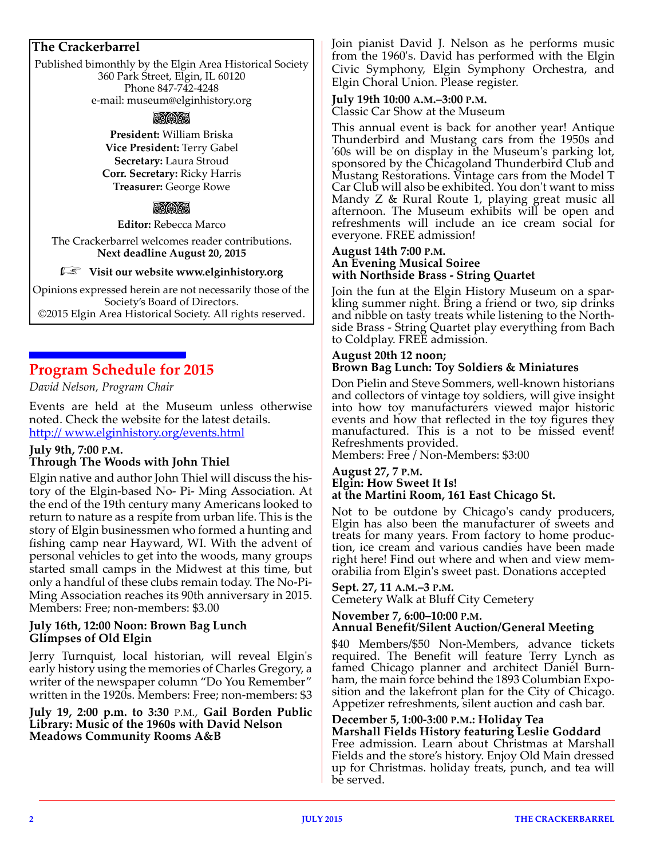### **The Crackerbarrel**

Published bimonthly by the Elgin Area Historical Society 360 Park Street, Elgin, IL 60120 Phone 847-742-4248 e-mail: museum@elginhistory.org

### **bo angk**

**President:** William Briska **Vice President:** Terry Gabel **Secretary:** Laura Stroud **Corr. Secretary:** Ricky Harris **Treasurer:** George Rowe

### aa

**Editor:** Rebecca Marco

The Crackerbarrel welcomes reader contributions. **Next deadline August 20, 2015**

### r **Visit our website www.elginhistory.org**

Opinions expressed herein are not necessarily those of the Society's Board of Directors. ©2015 Elgin Area Historical Society. All rights reserved.

# **Program Schedule for 2015**

*David Nelson, Program Chair*

Events are held at the Museum unless otherwise noted. Check the website for the latest details. http:// www.elginhistory.org/events.html

### **July 9th, 7:00 P.M. Through The Woods with John Thiel**

Elgin native and author John Thiel will discuss the history of the Elgin-based No- Pi- Ming Association. At the end of the 19th century many Americans looked to return to nature as a respite from urban life. This is the story of Elgin businessmen who formed a hunting and fishing camp near Hayward, WI. With the advent of personal vehicles to get into the woods, many groups started small camps in the Midwest at this time, but only a handful of these clubs remain today. The No-Pi-Ming Association reaches its 90th anniversary in 2015. Members: Free; non-members: \$3.00

### **July 16th, 12:00 Noon: Brown Bag Lunch Glimpses of Old Elgin**

Jerry Turnquist, local historian, will reveal Elgin's early history using the memories of Charles Gregory, a writer of the newspaper column "Do You Remember" written in the 1920s. Members: Free; non-members: \$3

**July 19, 2:00 p.m. to 3:30** P.M., **Gail Borden Public Library: Music of the 1960s with David Nelson Meadows Community Rooms A&B**

Join pianist David J. Nelson as he performs music from the 1960's. David has performed with the Elgin Civic Symphony, Elgin Symphony Orchestra, and Elgin Choral Union. Please register.

### **July 19th 10:00 A.M.–3:00 P.M.**

Classic Car Show at the Museum

This annual event is back for another year! Antique Thunderbird and Mustang cars from the 1950s and '60s will be on display in the Museum's parking lot, sponsored by the Chicagoland Thunderbird Club and Mustang Restorations. Vintage cars from the Model T Car Club will also be exhibited. You don't want to miss Mandy Z & Rural Route 1, playing great music all afternoon. The Museum exhibits will be open and refreshments will include an ice cream social for everyone. FREE admission!

#### **August 14th 7:00 P.M. An Evening Musical Soiree with Northside Brass - String Quartet**

Join the fun at the Elgin History Museum on a sparkling summer night. Bring a friend or two, sip drinks and nibble on tasty treats while listening to the North[side Brass - String Quartet play everything from Bach](http://www.northsidebrass.com/strings) to Coldplay. FREE admission.

#### **August 20th 12 noon; Brown Bag Lunch: Toy Soldiers & Miniatures**

Don Pielin and Steve Sommers, well-known historians and collectors of vintage toy soldiers, will give insight into how toy manufacturers viewed major historic events and how that reflected in the toy figures they manufactured. This is a not to be missed event! Refreshments provided.

Members: Free / Non-Members: \$3:00

#### **August 27, 7 P.M. Elgin: How Sweet It Is! at the Martini Room, 161 East Chicago St.**

Not to be outdone by Chicago's candy producers, Elgin has also been the manufacturer of sweets and treats for many years. From factory to home production, ice cream and various candies have been made right here! Find out where and when and view memorabilia from Elgin's sweet past. Donations accepted

### **Sept. 27, 11 A.M.–3 P.M.**

Cemetery Walk at Bluff City Cemetery

#### **November 7, 6:00–10:00 P.M. Annual Benefit/Silent Auction/General Meeting**

\$40 Members/\$50 Non-Members, advance tickets required. The Benefit will feature Terry Lynch as famed Chicago planner and architect Daniel Burnham, the main force behind the 1893 Columbian Exposition and the lakefront plan for the City of Chicago. Appetizer refreshments, silent auction and cash bar.

#### **December 5, 1:00-3:00 P.M.: Holiday Tea Marshall Fields History featuring Leslie Goddard**

Free admission. Learn about Christmas at Marshall Fields and the store's history. Enjoy Old Main dressed up for Christmas. holiday treats, punch, and tea will be served.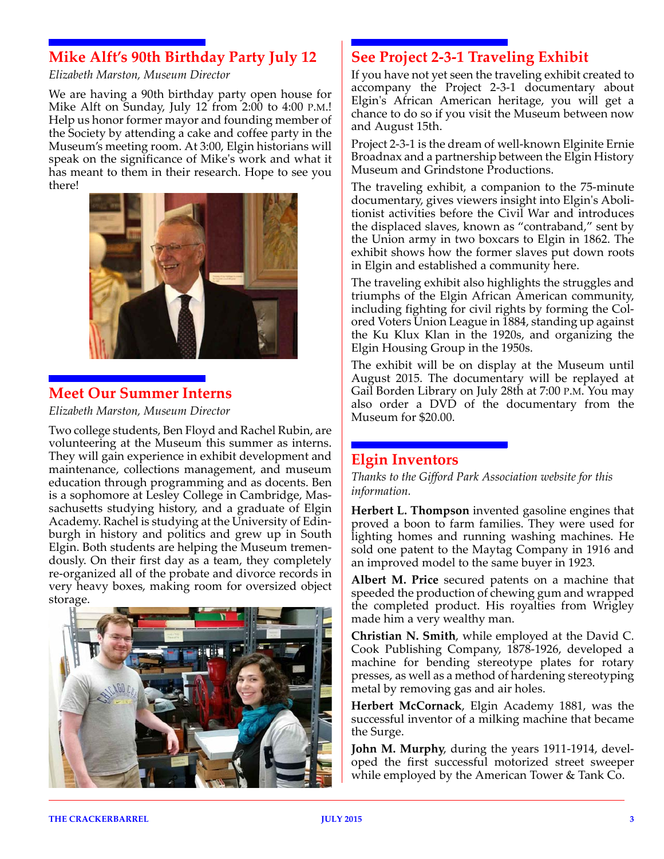# **Mike Alft's 90th Birthday Party July 12**

*Elizabeth Marston, Museum Director*

We are having a 90th birthday party open house for Mike Alft on Sunday, July 12 from 2:00 to 4:00 P.M.! Help us honor former mayor and founding member of the Society by attending a cake and coffee party in the Museum's meeting room. At 3:00, Elgin historians will speak on the significance of Mike's work and what it has meant to them in their research. Hope to see you there!



### **Meet Our Summer Interns**

*Elizabeth Marston, Museum Director*

Two college students, Ben Floyd and Rachel Rubin, are volunteering at the Museum this summer as interns. They will gain experience in exhibit development and maintenance, collections management, and museum education through programming and as docents. Ben is a sophomore at Lesley College in Cambridge, Massachusetts studying history, and a graduate of Elgin Academy. Rachel is studying at the University of Edinburgh in history and politics and grew up in South Elgin. Both students are helping the Museum tremendously. On their first day as a team, they completely re-organized all of the probate and divorce records in very heavy boxes, making room for oversized object storage.



# **See Project 2-3-1 Traveling Exhibit**

If you have not yet seen the traveling exhibit created to accompany the Project 2-3-1 documentary about Elgin's African American heritage, you will get a chance to do so if you visit the Museum between now and August 15th.

Project 2-3-1 is the dream of well-known Elginite Ernie Broadnax and a partnership between the Elgin History Museum and Grindstone Productions.

The traveling exhibit, a companion to the 75-minute documentary, gives viewers insight into Elgin's Abolitionist activities before the Civil War and introduces the displaced slaves, known as "contraband," sent by the Union army in two boxcars to Elgin in 1862. The exhibit shows how the former slaves put down roots in Elgin and established a community here.

The traveling exhibit also highlights the struggles and triumphs of the Elgin African American community, including fighting for civil rights by forming the Colored Voters Union League in 1884, standing up against the Ku Klux Klan in the 1920s, and organizing the Elgin Housing Group in the 1950s.

The exhibit will be on display at the Museum until August 2015. The documentary will be replayed at Gail Borden Library on July 28th at 7:00 P.M. You may also order a DVD of the documentary from the Museum for \$20.00.

### **Elgin Inventors**

*Thanks to the Gifford Park Association website for this information.*

**Herbert L. Thompson** invented gasoline engines that proved a boon to farm families. They were used for lighting homes and running washing machines. He sold one patent to the Maytag Company in 1916 and an improved model to the same buyer in 1923.

**Albert M. Price** secured patents on a machine that speeded the production of chewing gum and wrapped the completed product. His royalties from Wrigley made him a very wealthy man.

**Christian N. Smith**, while employed at the David C. Cook Publishing Company, 1878-1926, developed a machine for bending stereotype plates for rotary presses, as well as a method of hardening stereotyping metal by removing gas and air holes.

**Herbert McCornack**, Elgin Academy 1881, was the successful inventor of a milking machine that became the Surge.

**John M. Murphy**, during the years 1911-1914, developed the first successful motorized street sweeper while employed by the American Tower & Tank Co.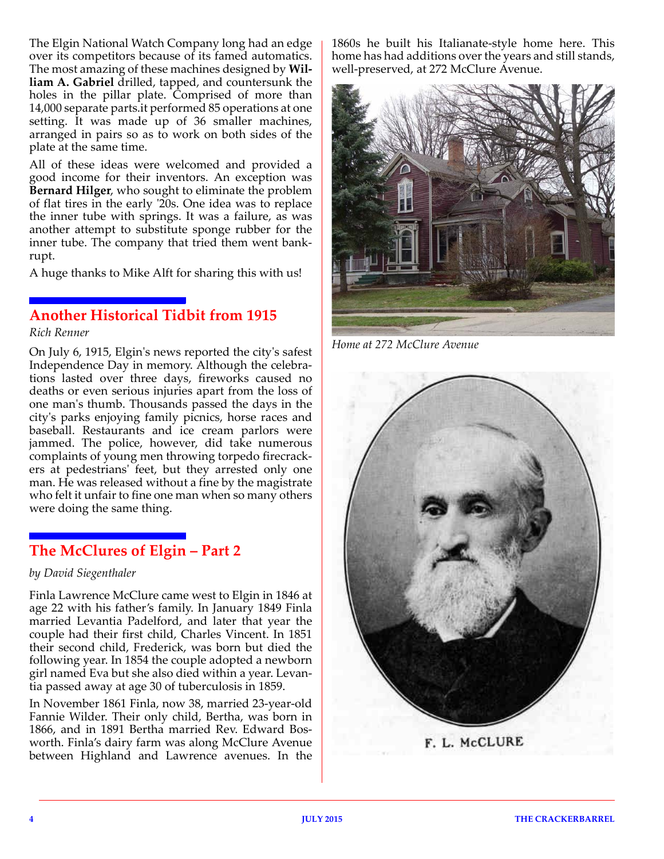The Elgin National Watch Company long had an edge over its competitors because of its famed automatics. The most amazing of these machines designed by **William A. Gabriel** drilled, tapped, and countersunk the holes in the pillar plate. Comprised of more than 14,000 separate parts.it performed 85 operations at one setting. It was made up of 36 smaller machines, arranged in pairs so as to work on both sides of the plate at the same time.

All of these ideas were welcomed and provided a good income for their inventors. An exception was **Bernard Hilger**, who sought to eliminate the problem of flat tires in the early '20s. One idea was to replace the inner tube with springs. It was a failure, as was another attempt to substitute sponge rubber for the inner tube. The company that tried them went bankrupt.

A huge thanks to Mike Alft for sharing this with us!

# **Another Historical Tidbit from 1915**

#### *Rich Renner*

On July 6, 1915, Elgin's news reported the city's safest Independence Day in memory. Although the celebrations lasted over three days, fireworks caused no deaths or even serious injuries apart from the loss of one man's thumb. Thousands passed the days in the city's parks enjoying family picnics, horse races and baseball. Restaurants and ice cream parlors were jammed. The police, however, did take numerous complaints of young men throwing torpedo firecrackers at pedestrians' feet, but they arrested only one man. He was released without a fine by the magistrate who felt it unfair to fine one man when so many others were doing the same thing.

# **The McClures of Elgin – Part 2**

### *by David Siegenthaler*

Finla Lawrence McClure came west to Elgin in 1846 at age 22 with his father's family. In January 1849 Finla married Levantia Padelford, and later that year the couple had their first child, Charles Vincent. In 1851 their second child, Frederick, was born but died the following year. In 1854 the couple adopted a newborn girl named Eva but she also died within a year. Levantia passed away at age 30 of tuberculosis in 1859.

In November 1861 Finla, now 38, married 23-year-old Fannie Wilder. Their only child, Bertha, was born in 1866, and in 1891 Bertha married Rev. Edward Bosworth. Finla's dairy farm was along McClure Avenue between Highland and Lawrence avenues. In the

1860s he built his Italianate-style home here. This home has had additions over the years and still stands, well-preserved, at 272 McClure Avenue.



*Home at 272 McClure Avenue*



F. L. McCLURE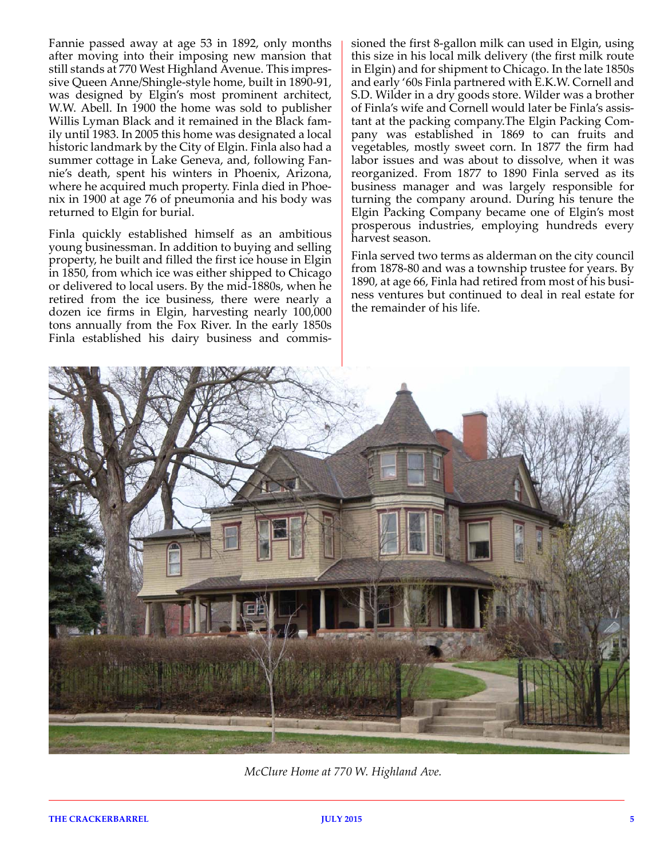Fannie passed away at age 53 in 1892, only months after moving into their imposing new mansion that still stands at 770 West Highland Avenue. This impressive Queen Anne/Shingle-style home, built in 1890-91, was designed by Elgin's most prominent architect, W.W. Abell. In 1900 the home was sold to publisher Willis Lyman Black and it remained in the Black family until 1983. In 2005 this home was designated a local historic landmark by the City of Elgin. Finla also had a summer cottage in Lake Geneva, and, following Fannie's death, spent his winters in Phoenix, Arizona, where he acquired much property. Finla died in Phoenix in 1900 at age 76 of pneumonia and his body was returned to Elgin for burial.

Finla quickly established himself as an ambitious young businessman. In addition to buying and selling property, he built and filled the first ice house in Elgin in 1850, from which ice was either shipped to Chicago or delivered to local users. By the mid-1880s, when he retired from the ice business, there were nearly a dozen ice firms in Elgin, harvesting nearly 100,000 tons annually from the Fox River. In the early 1850s Finla established his dairy business and commissioned the first 8-gallon milk can used in Elgin, using this size in his local milk delivery (the first milk route in Elgin) and for shipment to Chicago. In the late 1850s and early '60s Finla partnered with E.K.W. Cornell and S.D. Wilder in a dry goods store. Wilder was a brother of Finla's wife and Cornell would later be Finla's assistant at the packing company.The Elgin Packing Company was established in 1869 to can fruits and vegetables, mostly sweet corn. In 1877 the firm had labor issues and was about to dissolve, when it was reorganized. From 1877 to 1890 Finla served as its business manager and was largely responsible for turning the company around. During his tenure the Elgin Packing Company became one of Elgin's most prosperous industries, employing hundreds every harvest season.

Finla served two terms as alderman on the city council from 1878-80 and was a township trustee for years. By 1890, at age 66, Finla had retired from most of his business ventures but continued to deal in real estate for the remainder of his life.



*McClure Home at 770 W. Highland Ave.*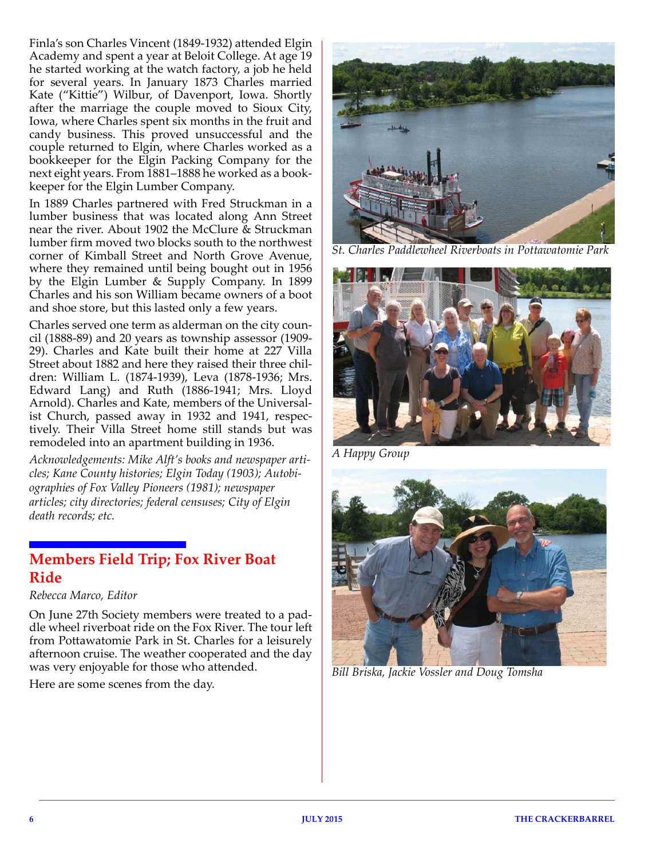Finla's son Charles Vincent (1849-1932) attended Elgin Academy and spent a year at Beloit College. At age 19 he started working at the watch factory, a job he held for several years. In January 1873 Charles married Kate ("Kittie") Wilbur, of Davenport, Iowa. Shortly after the marriage the couple moved to Sioux City, Iowa, where Charles spent six months in the fruit and candy business. This proved unsuccessful and the couple returned to Elgin, where Charles worked as a bookkeeper for the Elgin Packing Company for the next eight years. From 1881–1888 he worked as a bookkeeper for the Elgin Lumber Company.

In 1889 Charles partnered with Fred Struckman in a lumber business that was located along Ann Street near the river. About 1902 the McClure & Struckman lumber firm moved two blocks south to the northwest corner of Kimball Street and North Grove Avenue, where they remained until being bought out in 1956 by the Elgin Lumber & Supply Company. In 1899 Charles and his son William became owners of a boot and shoe store, but this lasted only a few years.

Charles served one term as alderman on the city council (1888-89) and 20 years as township assessor (1909- 29). Charles and Kate built their home at 227 Villa Street about 1882 and here they raised their three children: William L. (1874-1939), Leva (1878-1936; Mrs. Edward Lang) and Ruth (1886-1941; Mrs. Lloyd Arnold). Charles and Kate, members of the Universalist Church, passed away in 1932 and 1941, respectively. Their Villa Street home still stands but was remodeled into an apartment building in 1936.

*Acknowledgements: Mike Alft's books and newspaper articles; Kane County histories; Elgin Today (1903); Autobiographies of Fox Valley Pioneers (1981); newspaper articles; city directories; federal censuses; City of Elgin death records; etc.*

# **Members Field Trip; Fox River Boat Ride**

*Rebecca Marco, Editor*

On June 27th Society members were treated to a paddle wheel riverboat ride on the Fox River. The tour left from Pottawatomie Park in St. Charles for a leisurely afternoon cruise. The weather cooperated and the day was very enjoyable for those who attended.

Here are some scenes from the day.



*St. Charles Paddlewheel Riverboats in Pottawatomie Park*



*A Happy Group*



*Bill Briska, Jackie Vossler and Doug Tomsha*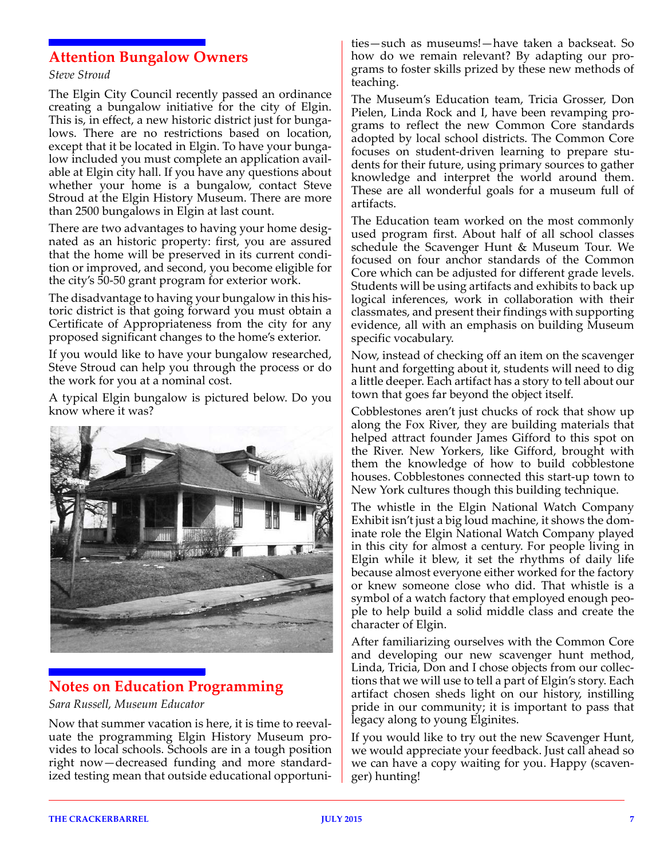### **Attention Bungalow Owners**

#### *Steve Stroud*

The Elgin City Council recently passed an ordinance creating a bungalow initiative for the city of Elgin. This is, in effect, a new historic district just for bungalows. There are no restrictions based on location, except that it be located in Elgin. To have your bungalow included you must complete an application available at Elgin city hall. If you have any questions about whether your home is a bungalow, contact Steve Stroud at the Elgin History Museum. There are more than 2500 bungalows in Elgin at last count.

There are two advantages to having your home designated as an historic property: first, you are assured that the home will be preserved in its current condition or improved, and second, you become eligible for the city's 50-50 grant program for exterior work.

The disadvantage to having your bungalow in this historic district is that going forward you must obtain a Certificate of Appropriateness from the city for any proposed significant changes to the home's exterior.

If you would like to have your bungalow researched, Steve Stroud can help you through the process or do the work for you at a nominal cost.

A typical Elgin bungalow is pictured below. Do you know where it was?



# **Notes on Education Programming**

*Sara Russell, Museum Educator*

Now that summer vacation is here, it is time to reevaluate the programming Elgin History Museum provides to local schools. Schools are in a tough position right now—decreased funding and more standardized testing mean that outside educational opportuni-

ties—such as museums!—have taken a backseat. So how do we remain relevant? By adapting our programs to foster skills prized by these new methods of teaching.

The Museum's Education team, Tricia Grosser, Don Pielen, Linda Rock and I, have been revamping programs to reflect the new Common Core standards adopted by local school districts. The Common Core focuses on student-driven learning to prepare students for their future, using primary sources to gather knowledge and interpret the world around them. These are all wonderful goals for a museum full of artifacts.

The Education team worked on the most commonly used program first. About half of all school classes schedule the Scavenger Hunt & Museum Tour. We focused on four anchor standards of the Common Core which can be adjusted for different grade levels. Students will be using artifacts and exhibits to back up logical inferences, work in collaboration with their classmates, and present their findings with supporting evidence, all with an emphasis on building Museum specific vocabulary.

Now, instead of checking off an item on the scavenger hunt and forgetting about it, students will need to dig a little deeper. Each artifact has a story to tell about our town that goes far beyond the object itself.

Cobblestones aren't just chucks of rock that show up along the Fox River, they are building materials that helped attract founder James Gifford to this spot on the River. New Yorkers, like Gifford, brought with them the knowledge of how to build cobblestone houses. Cobblestones connected this start-up town to New York cultures though this building technique.

The whistle in the Elgin National Watch Company Exhibit isn't just a big loud machine, it shows the dominate role the Elgin National Watch Company played in this city for almost a century. For people living in Elgin while it blew, it set the rhythms of daily life because almost everyone either worked for the factory or knew someone close who did. That whistle is a symbol of a watch factory that employed enough people to help build a solid middle class and create the character of Elgin.

After familiarizing ourselves with the Common Core and developing our new scavenger hunt method, Linda, Tricia, Don and I chose objects from our collections that we will use to tell a part of Elgin's story. Each artifact chosen sheds light on our history, instilling pride in our community; it is important to pass that legacy along to young Elginites.

If you would like to try out the new Scavenger Hunt, we would appreciate your feedback. Just call ahead so we can have a copy waiting for you. Happy (scavenger) hunting!